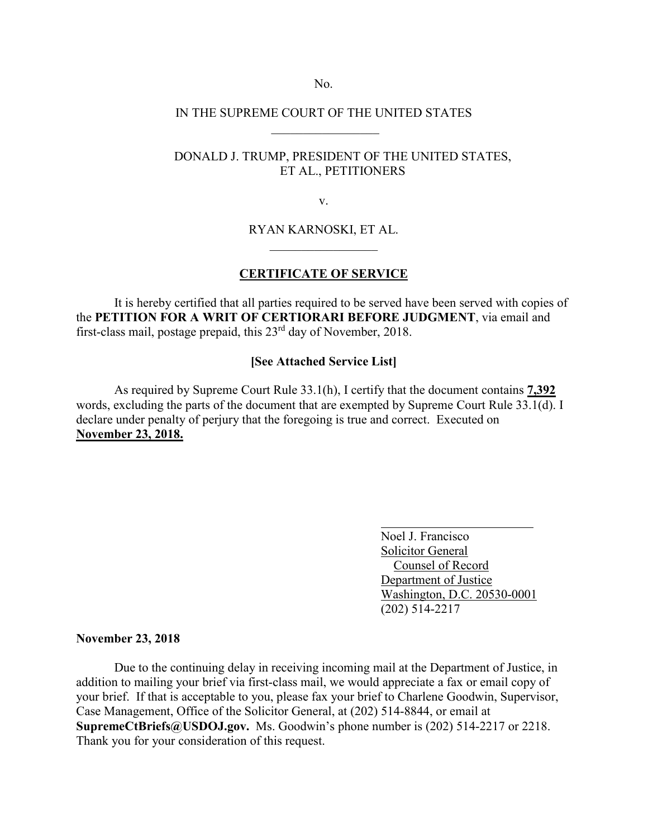No.

# IN THE SUPREME COURT OF THE UNITED STATES  $\frac{1}{2}$  ,  $\frac{1}{2}$  ,  $\frac{1}{2}$  ,  $\frac{1}{2}$  ,  $\frac{1}{2}$  ,  $\frac{1}{2}$  ,  $\frac{1}{2}$  ,  $\frac{1}{2}$  ,  $\frac{1}{2}$

## DONALD J. TRUMP, PRESIDENT OF THE UNITED STATES, ET AL., PETITIONERS

v.

### RYAN KARNOSKI, ET AL.  $\overline{\phantom{a}}$  , where  $\overline{\phantom{a}}$  , where  $\overline{\phantom{a}}$

#### **CERTIFICATE OF SERVICE**

It is hereby certified that all parties required to be served have been served with copies of the **PETITION FOR A WRIT OF CERTIORARI BEFORE JUDGMENT**, via email and first-class mail, postage prepaid, this 23rd day of November, 2018.

# **[See Attached Service List]**

As required by Supreme Court Rule 33.1(h), I certify that the document contains **7,392**  words, excluding the parts of the document that are exempted by Supreme Court Rule 33.1(d). I declare under penalty of perjury that the foregoing is true and correct. Executed on **November 23, 2018.**

> Noel J. Francisco Solicitor General Counsel of Record Department of Justice Washington, D.C. 20530-0001 (202) 514-2217

#### **November 23, 2018**

Due to the continuing delay in receiving incoming mail at the Department of Justice, in addition to mailing your brief via first-class mail, we would appreciate a fax or email copy of your brief. If that is acceptable to you, please fax your brief to Charlene Goodwin, Supervisor, Case Management, Office of the Solicitor General, at (202) 514-8844, or email at **SupremeCtBriefs@USDOJ.gov.** Ms. Goodwin's phone number is (202) 514-2217 or 2218. Thank you for your consideration of this request.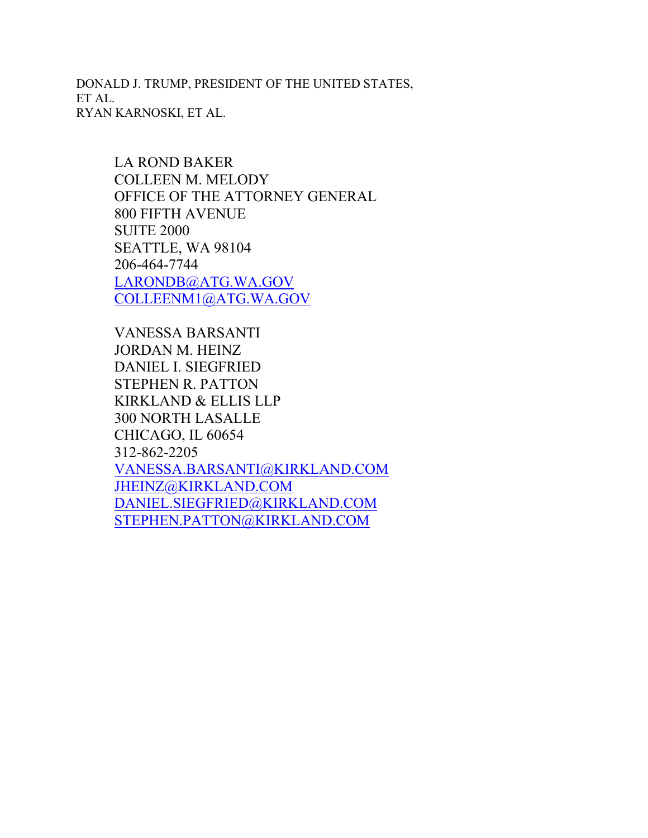DONALD J. TRUMP, PRESIDENT OF THE UNITED STATES, ET AL. RYAN KARNOSKI, ET AL.

> LA ROND BAKER COLLEEN M. MELODY OFFICE OF THE ATTORNEY GENERAL 800 FIFTH AVENUE SUITE 2000 SEATTLE, WA 98104 206-464-7744 [LARONDB@ATG.WA.GOV](mailto:LARONDB@ATG.WA.GOV) [COLLEENM1@ATG.WA.GOV](mailto:COLLEENM1@ATG.WA.GOV)

VANESSA BARSANTI JORDAN M. HEINZ DANIEL I. SIEGFRIED STEPHEN R. PATTON KIRKLAND & ELLIS LLP 300 NORTH LASALLE CHICAGO, IL 60654 312-862-2205 [VANESSA.BARSANTI@KIRKLAND.COM](mailto:VANESSA.BARSANTI@KIRKLAND.COM) [JHEINZ@KIRKLAND.COM](mailto:JHEINZ@KIRKLAND.COM) [DANIEL.SIEGFRIED@KIRKLAND.COM](mailto:DANIEL.SIEGFRIED@KIRKLAND.COM) [STEPHEN.PATTON@KIRKLAND.COM](mailto:STEPHEN.PATTON@KIRKLAND.COM)